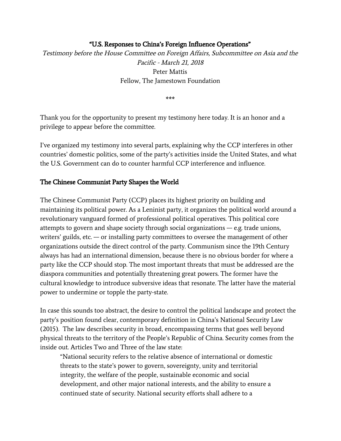### "U.S. Responses to China's Foreign Influence Operations"

Testimony before the House Committee on Foreign Affairs, Subcommittee on Asia and the Pacific - March 21, 2018 Peter Mattis Fellow, The Jamestown Foundation

\*\*\*

Thank you for the opportunity to present my testimony here today. It is an honor and a privilege to appear before the committee.

I've organized my testimony into several parts, explaining why the CCP interferes in other countries' domestic politics, some of the party's activities inside the United States, and what the U.S. Government can do to counter harmful CCP interference and influence.

### The Chinese Communist Party Shapes the World

The Chinese Communist Party (CCP) places its highest priority on building and maintaining its political power. As a Leninist party, it organizes the political world around a revolutionary vanguard formed of professional political operatives. This political core attempts to govern and shape society through social organizations — e.g. trade unions, writers' guilds, etc.  $-$  or installing party committees to oversee the management of other organizations outside the direct control of the party. Communism since the 19th Century always has had an international dimension, because there is no obvious border for where a party like the CCP should stop. The most important threats that must be addressed are the diaspora communities and potentially threatening great powers. The former have the cultural knowledge to introduce subversive ideas that resonate. The latter have the material power to undermine or topple the party-state.

In case this sounds too abstract, the desire to control the political landscape and protect the party's position found clear, contemporary definition in China's National Security Law (2015). The law describes security in broad, encompassing terms that goes well beyond physical threats to the territory of the People's Republic of China. Security comes from the inside out. Articles Two and Three of the law state:

"National security refers to the relative absence of international or domestic threats to the state's power to govern, sovereignty, unity and territorial integrity, the welfare of the people, sustainable economic and social development, and other major national interests, and the ability to ensure a continued state of security. National security efforts shall adhere to a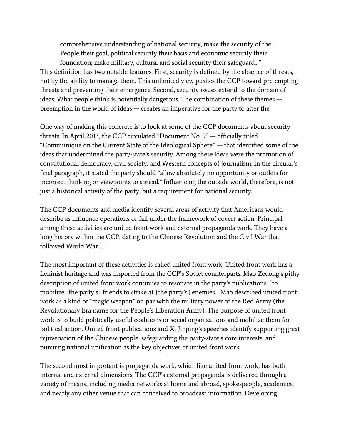comprehensive understanding of national security, make the security of the People their goal, political security their basis and economic security their foundation; make military, cultural and social security their safeguard…" This definition has two notable features. First, security is defined by the absence of threats, not by the ability to manage them. This unlimited view pushes the CCP toward pre-empting threats and preventing their emergence. Second, security issues extend to the domain of ideas. What people think is potentially dangerous. The combination of these themes preemption in the world of ideas — creates an imperative for the party to alter the

One way of making this concrete is to look at some of the CCP documents about security threats. In April 2013, the CCP circulated "Document No. 9" — officially titled "Communiqué on the Current State of the Ideological Sphere" — that identified some of the ideas that undermined the party-state's security. Among these ideas were the promotion of constitutional democracy, civil society, and Western concepts of journalism. In the circular's final paragraph, it stated the party should "allow absolutely no opportunity or outlets for incorrect thinking or viewpoints to spread." Influencing the outside world, therefore, is not just a historical activity of the party, but a requirement for national security.

The CCP documents and media identify several areas of activity that Americans would describe as influence operations or fall under the framework of covert action. Principal among these activities are united front work and external propaganda work. They have a long history within the CCP, dating to the Chinese Revolution and the Civil War that followed World War II.

The most important of these activities is called united front work. United front work has a Leninist heritage and was imported from the CCP's Soviet counterparts. Mao Zedong's pithy description of united front work continues to resonate in the party's publications: "to mobilize [the party's] friends to strike at [the party's] enemies." Mao described united front work as a kind of "magic weapon" on par with the military power of the Red Army (the Revolutionary Era name for the People's Liberation Army). The purpose of united front work is to build politically-useful coalitions or social organizations and mobilize them for political action. United front publications and Xi Jinping's speeches identify supporting great rejuvenation of the Chinese people, safeguarding the party-state's core interests, and pursuing national unification as the key objectives of united front work.

The second most important is propaganda work, which like united front work, has both internal and external dimensions. The CCP's external propaganda is delivered through a variety of means, including media networks at home and abroad, spokespeople, academics, and nearly any other venue that can conceived to broadcast information. Developing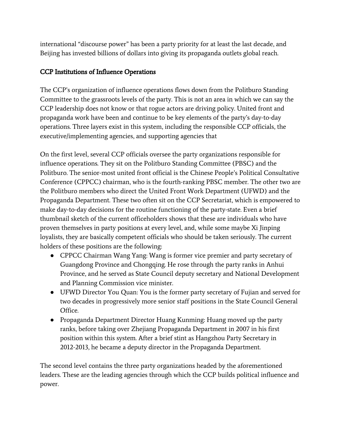international "discourse power" has been a party priority for at least the last decade, and Beijing has invested billions of dollars into giving its propaganda outlets global reach.

## CCP Institutions of Influence Operations

The CCP's organization of influence operations flows down from the Politburo Standing Committee to the grassroots levels of the party. This is not an area in which we can say the CCP leadership does not know or that rogue actors are driving policy. United front and propaganda work have been and continue to be key elements of the party's day-to-day operations. Three layers exist in this system, including the responsible CCP officials, the executive/implementing agencies, and supporting agencies that

On the first level, several CCP officials oversee the party organizations responsible for influence operations. They sit on the Politburo Standing Committee (PBSC) and the Politburo. The senior-most united front official is the Chinese People's Political Consultative Conference (CPPCC) chairman, who is the fourth-ranking PBSC member. The other two are the Politburo members who direct the United Front Work Department (UFWD) and the Propaganda Department. These two often sit on the CCP Secretariat, which is empowered to make day-to-day decisions for the routine functioning of the party-state. Even a brief thumbnail sketch of the current officeholders shows that these are individuals who have proven themselves in party positions at every level, and, while some maybe Xi Jinping loyalists, they are basically competent officials who should be taken seriously. The current holders of these positions are the following:

- CPPCC Chairman Wang Yang: Wang is former vice premier and party secretary of Guangdong Province and Chongqing. He rose through the party ranks in Anhui Province, and he served as State Council deputy secretary and National Development and Planning Commission vice minister.
- UFWD Director You Quan: You is the former party secretary of Fujian and served for two decades in progressively more senior staff positions in the State Council General Office.
- Propaganda Department Director Huang Kunming: Huang moved up the party ranks, before taking over Zhejiang Propaganda Department in 2007 in his first position within this system. After a brief stint as Hangzhou Party Secretary in 2012-2013, he became a deputy director in the Propaganda Department.

The second level contains the three party organizations headed by the aforementioned leaders. These are the leading agencies through which the CCP builds political influence and power.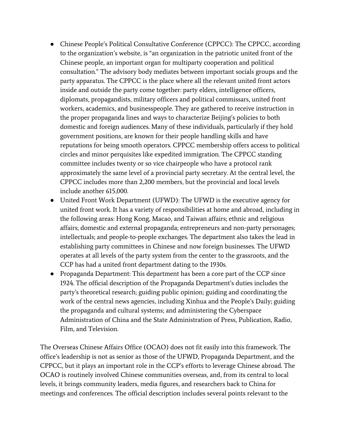- Chinese People's Political Consultative Conference (CPPCC): The CPPCC, according to the organization's website, is "an organization in the patriotic united front of the Chinese people, an important organ for multiparty cooperation and political consultation." The advisory body mediates between important socials groups and the party apparatus. The CPPCC is the place where all the relevant united front actors inside and outside the party come together: party elders, intelligence officers, diplomats, propagandists, military officers and political commissars, united front workers, academics, and businesspeople. They are gathered to receive instruction in the proper propaganda lines and ways to characterize Beijing's policies to both domestic and foreign audiences. Many of these individuals, particularly if they hold government positions, are known for their people handling skills and have reputations for being smooth operators. CPPCC membership offers access to political circles and minor perquisites like expedited immigration. The CPPCC standing committee includes twenty or so vice chairpeople who have a protocol rank approximately the same level of a provincial party secretary. At the central level, the CPPCC includes more than 2,200 members, but the provincial and local levels include another 615,000.
- United Front Work Department (UFWD): The UFWD is the executive agency for united front work. It has a variety of responsibilities at home and abroad, including in the following areas: Hong Kong, Macao, and Taiwan affairs; ethnic and religious affairs; domestic and external propaganda; entrepreneurs and non-party personages; intellectuals; and people-to-people exchanges. The department also takes the lead in establishing party committees in Chinese and now foreign businesses. The UFWD operates at all levels of the party system from the center to the grassroots, and the CCP has had a united front department dating to the 1930s.
- Propaganda Department: This department has been a core part of the CCP since 1924. The official description of the Propaganda Department's duties includes the party's theoretical research; guiding public opinion; guiding and coordinating the work of the central news agencies, including Xinhua and the People's Daily; guiding the propaganda and cultural systems; and administering the Cyberspace Administration of China and the State Administration of Press, Publication, Radio, Film, and Television.

The Overseas Chinese Affairs Office (OCAO) does not fit easily into this framework. The office's leadership is not as senior as those of the UFWD, Propaganda Department, and the CPPCC, but it plays an important role in the CCP's efforts to leverage Chinese abroad. The OCAO is routinely involved Chinese communities overseas, and, from its central to local levels, it brings community leaders, media figures, and researchers back to China for meetings and conferences. The official description includes several points relevant to the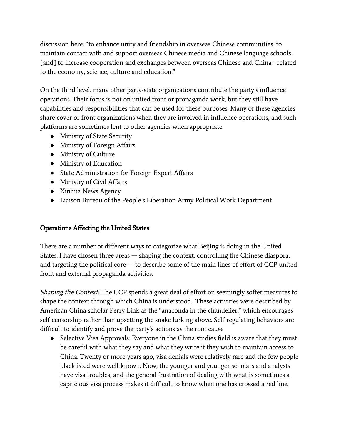discussion here: "to enhance unity and friendship in overseas Chinese communities; to maintain contact with and support overseas Chinese media and Chinese language schools; [and] to increase cooperation and exchanges between overseas Chinese and China - related to the economy, science, culture and education."

On the third level, many other party-state organizations contribute the party's influence operations. Their focus is not on united front or propaganda work, but they still have capabilities and responsibilities that can be used for these purposes. Many of these agencies share cover or front organizations when they are involved in influence operations, and such platforms are sometimes lent to other agencies when appropriate.

- Ministry of State Security
- Ministry of Foreign Affairs
- Ministry of Culture
- Ministry of Education
- State Administration for Foreign Expert Affairs
- Ministry of Civil Affairs
- Xinhua News Agency
- Liaison Bureau of the People's Liberation Army Political Work Department

# Operations Affecting the United States

There are a number of different ways to categorize what Beijing is doing in the United States. I have chosen three areas — shaping the context, controlling the Chinese diaspora, and targeting the political core — to describe some of the main lines of effort of CCP united front and external propaganda activities.

*Shaping the Context*: The CCP spends a great deal of effort on seemingly softer measures to shape the context through which China is understood. These activities were described by American China scholar Perry Link as the "anaconda in the chandelier," which encourages self-censorship rather than upsetting the snake lurking above. Self-regulating behaviors are difficult to identify and prove the party's actions as the root cause

• Selective Visa Approvals: Everyone in the China studies field is aware that they must be careful with what they say and what they write if they wish to maintain access to China. Twenty or more years ago, visa denials were relatively rare and the few people blacklisted were well-known. Now, the younger and younger scholars and analysts have visa troubles, and the general frustration of dealing with what is sometimes a capricious visa process makes it difficult to know when one has crossed a red line.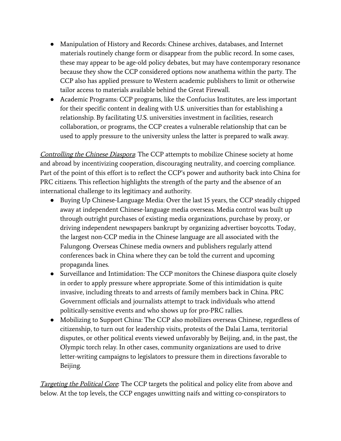- Manipulation of History and Records: Chinese archives, databases, and Internet materials routinely change form or disappear from the public record. In some cases, these may appear to be age-old policy debates, but may have contemporary resonance because they show the CCP considered options now anathema within the party. The CCP also has applied pressure to Western academic publishers to limit or otherwise tailor access to materials available behind the Great Firewall.
- Academic Programs: CCP programs, like the Confucius Institutes, are less important for their specific content in dealing with U.S. universities than for establishing a relationship. By facilitating U.S. universities investment in facilities, research collaboration, or programs, the CCP creates a vulnerable relationship that can be used to apply pressure to the university unless the latter is prepared to walk away.

Controlling the Chinese Diaspora: The CCP attempts to mobilize Chinese society at home and abroad by incentivizing cooperation, discouraging neutrality, and coercing compliance. Part of the point of this effort is to reflect the CCP's power and authority back into China for PRC citizens. This reflection highlights the strength of the party and the absence of an international challenge to its legitimacy and authority.

- Buying Up Chinese-Language Media: Over the last 15 years, the CCP steadily chipped away at independent Chinese-language media overseas. Media control was built up through outright purchases of existing media organizations, purchase by proxy, or driving independent newspapers bankrupt by organizing advertiser boycotts. Today, the largest non-CCP media in the Chinese language are all associated with the Falungong. Overseas Chinese media owners and publishers regularly attend conferences back in China where they can be told the current and upcoming propaganda lines.
- Surveillance and Intimidation: The CCP monitors the Chinese diaspora quite closely in order to apply pressure where appropriate. Some of this intimidation is quite invasive, including threats to and arrests of family members back in China. PRC Government officials and journalists attempt to track individuals who attend politically-sensitive events and who shows up for pro-PRC rallies.
- Mobilizing to Support China: The CCP also mobilizes overseas Chinese, regardless of citizenship, to turn out for leadership visits, protests of the Dalai Lama, territorial disputes, or other political events viewed unfavorably by Beijing, and, in the past, the Olympic torch relay. In other cases, community organizations are used to drive letter-writing campaigns to legislators to pressure them in directions favorable to Beijing.

Targeting the Political Core: The CCP targets the political and policy elite from above and below. At the top levels, the CCP engages unwitting naifs and witting co-conspirators to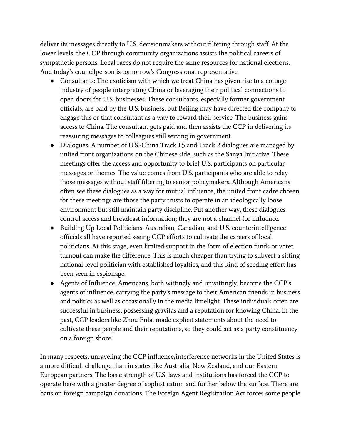deliver its messages directly to U.S. decisionmakers without filtering through staff. At the lower levels, the CCP through community organizations assists the political careers of sympathetic persons. Local races do not require the same resources for national elections. And today's councilperson is tomorrow's Congressional representative.

- Consultants: The exoticism with which we treat China has given rise to a cottage industry of people interpreting China or leveraging their political connections to open doors for U.S. businesses. These consultants, especially former government officials, are paid by the U.S. business, but Beijing may have directed the company to engage this or that consultant as a way to reward their service. The business gains access to China. The consultant gets paid and then assists the CCP in delivering its reassuring messages to colleagues still serving in government.
- Dialogues: A number of U.S.-China Track 1.5 and Track 2 dialogues are managed by united front organizations on the Chinese side, such as the Sanya Initiative. These meetings offer the access and opportunity to brief U.S. participants on particular messages or themes. The value comes from U.S. participants who are able to relay those messages without staff filtering to senior policymakers. Although Americans often see these dialogues as a way for mutual influence, the united front cadre chosen for these meetings are those the party trusts to operate in an ideologically loose environment but still maintain party discipline. Put another way, these dialogues control access and broadcast information; they are not a channel for influence.
- Building Up Local Politicians: Australian, Canadian, and U.S. counterintelligence officials all have reported seeing CCP efforts to cultivate the careers of local politicians. At this stage, even limited support in the form of election funds or voter turnout can make the difference. This is much cheaper than trying to subvert a sitting national-level politician with established loyalties, and this kind of seeding effort has been seen in espionage.
- Agents of Influence: Americans, both wittingly and unwittingly, become the CCP's agents of influence, carrying the party's message to their American friends in business and politics as well as occasionally in the media limelight. These individuals often are successful in business, possessing gravitas and a reputation for knowing China. In the past, CCP leaders like Zhou Enlai made explicit statements about the need to cultivate these people and their reputations, so they could act as a party constituency on a foreign shore.

In many respects, unraveling the CCP influence/interference networks in the United States is a more difficult challenge than in states like Australia, New Zealand, and our Eastern European partners. The basic strength of U.S. laws and institutions has forced the CCP to operate here with a greater degree of sophistication and further below the surface. There are bans on foreign campaign donations. The Foreign Agent Registration Act forces some people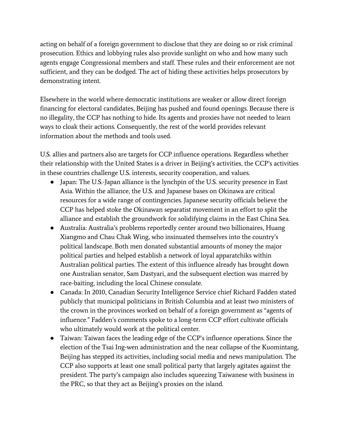acting on behalf of a foreign government to disclose that they are doing so or risk criminal prosecution. Ethics and lobbying rules also provide sunlight on who and how many such agents engage Congressional members and staff. These rules and their enforcement are not sufficient, and they can be dodged. The act of hiding these activities helps prosecutors by demonstrating intent.

Elsewhere in the world where democratic institutions are weaker or allow direct foreign financing for electoral candidates, Beijing has pushed and found openings. Because there is no illegality, the CCP has nothing to hide. Its agents and proxies have not needed to learn ways to cloak their actions. Consequently, the rest of the world provides relevant information about the methods and tools used.

U.S. allies and partners also are targets for CCP influence operations. Regardless whether their relationship with the United States is a driver in Beijing's activities, the CCP's activities in these countries challenge U.S. interests, security cooperation, and values.

- Japan: The U.S.-Japan alliance is the lynchpin of the U.S. security presence in East Asia. Within the alliance, the U.S. and Japanese bases on Okinawa are critical resources for a wide range of contingencies. Japanese security officials believe the CCP has helped stoke the Okinawan separatist movement in an effort to split the alliance and establish the groundwork for solidifying claims in the East China Sea.
- Australia: Australia's problems reportedly center around two billionaires, Huang Xiangmo and Chau Chak Wing, who insinuated themselves into the country's political landscape. Both men donated substantial amounts of money the major political parties and helped establish a network of loyal apparatchiks within Australian political parties. The extent of this influence already has brought down one Australian senator, Sam Dastyari, and the subsequent election was marred by race-baiting, including the local Chinese consulate.
- Canada: In 2010, Canadian Security Intelligence Service chief Richard Fadden stated publicly that municipal politicians in British Columbia and at least two ministers of the crown in the provinces worked on behalf of a foreign government as "agents of influence." Fadden's comments spoke to a long-term CCP effort cultivate officials who ultimately would work at the political center.
- Taiwan: Taiwan faces the leading edge of the CCP's influence operations. Since the election of the Tsai Ing-wen administration and the near collapse of the Kuomintang, Beijing has stepped its activities, including social media and news manipulation. The CCP also supports at least one small political party that largely agitates against the president. The party's campaign also includes squeezing Taiwanese with business in the PRC, so that they act as Beijing's proxies on the island.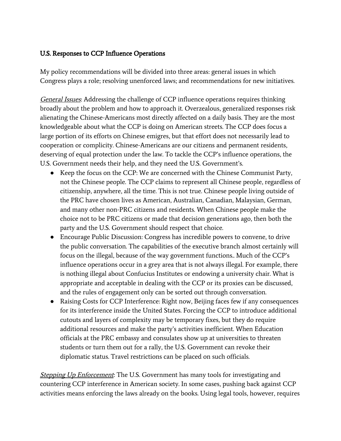## U.S. Responses to CCP Influence Operations

My policy recommendations will be divided into three areas: general issues in which Congress plays a role; resolving unenforced laws; and recommendations for new initiatives.

General Issues: Addressing the challenge of CCP influence operations requires thinking broadly about the problem and how to approach it. Overzealous, generalized responses risk alienating the Chinese-Americans most directly affected on a daily basis. They are the most knowledgeable about what the CCP is doing on American streets. The CCP does focus a large portion of its efforts on Chinese emigres, but that effort does not necessarily lead to cooperation or complicity. Chinese-Americans are our citizens and permanent residents, deserving of equal protection under the law. To tackle the CCP's influence operations, the U.S. Government needs their help, and they need the U.S. Government's.

- Keep the focus on the CCP: We are concerned with the Chinese Communist Party, not the Chinese people. The CCP claims to represent all Chinese people, regardless of citizenship, anywhere, all the time. This is not true. Chinese people living outside of the PRC have chosen lives as American, Australian, Canadian, Malaysian, German, and many other non-PRC citizens and residents. When Chinese people make the choice not to be PRC citizens or made that decision generations ago, then both the party and the U.S. Government should respect that choice.
- Encourage Public Discussion: Congress has incredible powers to convene, to drive the public conversation. The capabilities of the executive branch almost certainly will focus on the illegal, because of the way government functions.. Much of the CCP's influence operations occur in a grey area that is not always illegal. For example, there is nothing illegal about Confucius Institutes or endowing a university chair. What is appropriate and acceptable in dealing with the CCP or its proxies can be discussed, and the rules of engagement only can be sorted out through conversation.
- Raising Costs for CCP Interference: Right now, Beijing faces few if any consequences for its interference inside the United States. Forcing the CCP to introduce additional cutouts and layers of complexity may be temporary fixes, but they do require additional resources and make the party's activities inefficient. When Education officials at the PRC embassy and consulates show up at universities to threaten students or turn them out for a rally, the U.S. Government can revoke their diplomatic status. Travel restrictions can be placed on such officials.

Stepping Up Enforcement: The U.S. Government has many tools for investigating and countering CCP interference in American society. In some cases, pushing back against CCP activities means enforcing the laws already on the books. Using legal tools, however, requires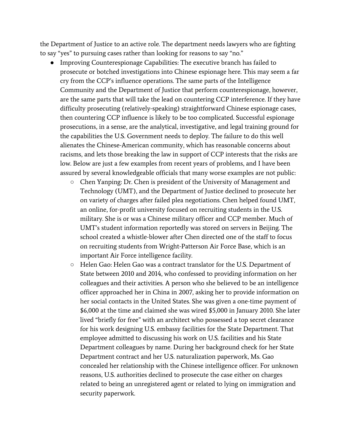the Department of Justice to an active role. The department needs lawyers who are fighting to say "yes" to pursuing cases rather than looking for reasons to say "no."

- Improving Counterespionage Capabilities: The executive branch has failed to prosecute or botched investigations into Chinese espionage here. This may seem a far cry from the CCP's influence operations. The same parts of the Intelligence Community and the Department of Justice that perform counterespionage, however, are the same parts that will take the lead on countering CCP interference. If they have difficulty prosecuting (relatively-speaking) straightforward Chinese espionage cases, then countering CCP influence is likely to be too complicated. Successful espionage prosecutions, in a sense, are the analytical, investigative, and legal training ground for the capabilities the U.S. Government needs to deploy. The failure to do this well alienates the Chinese-American community, which has reasonable concerns about racisms, and lets those breaking the law in support of CCP interests that the risks are low. Below are just a few examples from recent years of problems, and I have been assured by several knowledgeable officials that many worse examples are not public:
	- Chen Yanping: Dr. Chen is president of the University of Management and Technology (UMT), and the Department of Justice declined to prosecute her on variety of charges after failed plea negotiations. Chen helped found UMT, an online, for-profit university focused on recruiting students in the U.S. military. She is or was a Chinese military officer and CCP member. Much of UMT's student information reportedly was stored on servers in Beijing. The school created a whistle-blower after Chen directed one of the staff to focus on recruiting students from Wright-Patterson Air Force Base, which is an important Air Force intelligence facility.
	- Helen Gao: Helen Gao was a contract translator for the U.S. Department of State between 2010 and 2014, who confessed to providing information on her colleagues and their activities. A person who she believed to be an intelligence officer approached her in China in 2007, asking her to provide information on her social contacts in the United States. She was given a one-time payment of \$6,000 at the time and claimed she was wired \$5,000 in January 2010. She later lived "briefly for free" with an architect who possessed a top secret clearance for his work designing U.S. embassy facilities for the State Department. That employee admitted to discussing his work on U.S. facilities and his State Department colleagues by name. During her background check for her State Department contract and her U.S. naturalization paperwork, Ms. Gao concealed her relationship with the Chinese intelligence officer. For unknown reasons, U.S. authorities declined to prosecute the case either on charges related to being an unregistered agent or related to lying on immigration and security paperwork.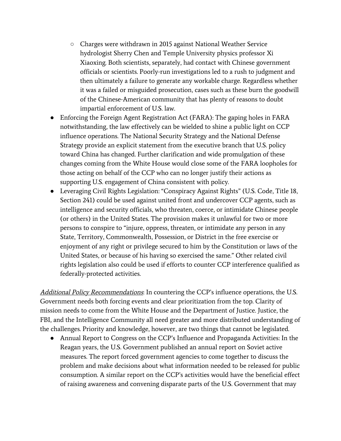- Charges were withdrawn in 2015 against National Weather Service hydrologist Sherry Chen and Temple University physics professor Xi Xiaoxing. Both scientists, separately, had contact with Chinese government officials or scientists. Poorly-run investigations led to a rush to judgment and then ultimately a failure to generate any workable charge. Regardless whether it was a failed or misguided prosecution, cases such as these burn the goodwill of the Chinese-American community that has plenty of reasons to doubt impartial enforcement of U.S. law.
- Enforcing the Foreign Agent Registration Act (FARA): The gaping holes in FARA notwithstanding, the law effectively can be wielded to shine a public light on CCP influence operations. The National Security Strategy and the National Defense Strategy provide an explicit statement from the executive branch that U.S. policy toward China has changed. Further clarification and wide promulgation of these changes coming from the White House would close some of the FARA loopholes for those acting on behalf of the CCP who can no longer justify their actions as supporting U.S. engagement of China consistent with policy.
- Leveraging Civil Rights Legislation: "Conspiracy Against Rights" (U.S. Code, Title 18, Section 241) could be used against united front and undercover CCP agents, such as intelligence and security officials, who threaten, coerce, or intimidate Chinese people (or others) in the United States. The provision makes it unlawful for two or more persons to conspire to "injure, oppress, threaten, or intimidate any person in any State, Territory, Commonwealth, Possession, or District in the free exercise or enjoyment of any right or privilege secured to him by the Constitution or laws of the United States, or because of his having so exercised the same." Other related civil rights legislation also could be used if efforts to counter CCP interference qualified as federally-protected activities.

Additional Policy Recommendations: In countering the CCP's influence operations, the U.S. Government needs both forcing events and clear prioritization from the top. Clarity of mission needs to come from the White House and the Department of Justice. Justice, the FBI, and the Intelligence Community all need greater and more distributed understanding of the challenges. Priority and knowledge, however, are two things that cannot be legislated.

● Annual Report to Congress on the CCP's Influence and Propaganda Activities: In the Reagan years, the U.S. Government published an annual report on Soviet active measures. The report forced government agencies to come together to discuss the problem and make decisions about what information needed to be released for public consumption. A similar report on the CCP's activities would have the beneficial effect of raising awareness and convening disparate parts of the U.S. Government that may